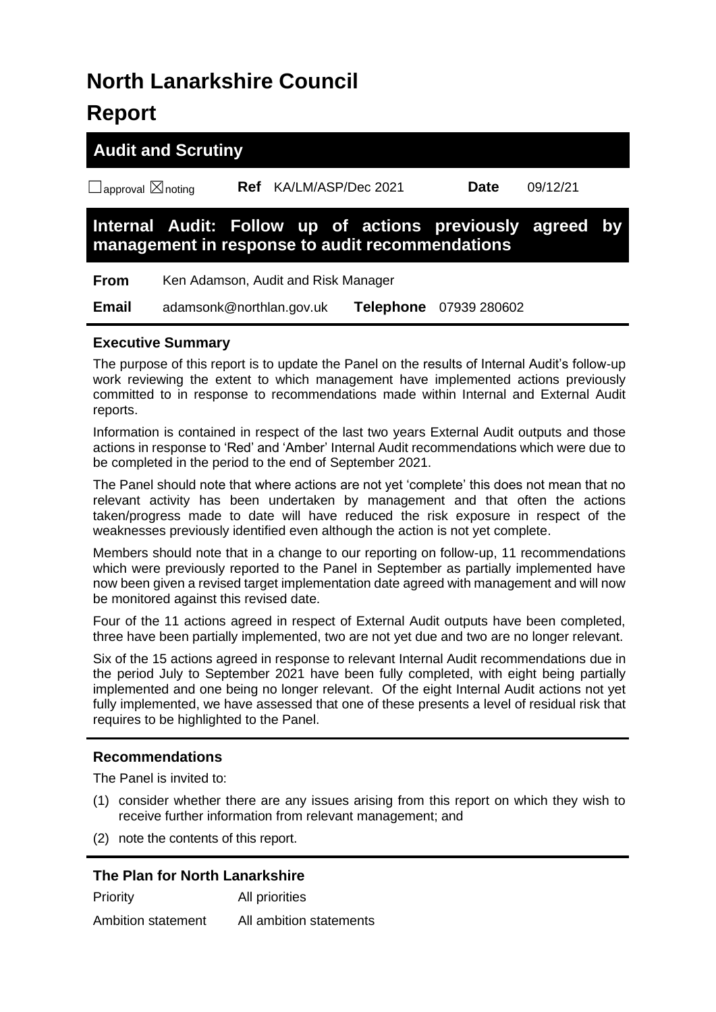# **North Lanarkshire Council**

# **Report**

|                                    | <b>Audit and Scrutiny</b> |     |                                     |                                                 |                                                           |          |  |
|------------------------------------|---------------------------|-----|-------------------------------------|-------------------------------------------------|-----------------------------------------------------------|----------|--|
| $\Box$ approval $\boxtimes$ noting |                           | Ref |                                     | KA/LM/ASP/Dec 2021                              | <b>Date</b>                                               | 09/12/21 |  |
|                                    |                           |     |                                     | management in response to audit recommendations | Internal Audit: Follow up of actions previously agreed by |          |  |
| <b>From</b>                        |                           |     | Ken Adamson, Audit and Risk Manager |                                                 |                                                           |          |  |
| <b>Email</b>                       | adamsonk@northlan.gov.uk  |     |                                     | <b>Telephone</b>                                | 07939 280602                                              |          |  |

# **Executive Summary**

The purpose of this report is to update the Panel on the results of Internal Audit's follow-up work reviewing the extent to which management have implemented actions previously committed to in response to recommendations made within Internal and External Audit reports.

Information is contained in respect of the last two years External Audit outputs and those actions in response to 'Red' and 'Amber' Internal Audit recommendations which were due to be completed in the period to the end of September 2021.

The Panel should note that where actions are not yet 'complete' this does not mean that no relevant activity has been undertaken by management and that often the actions taken/progress made to date will have reduced the risk exposure in respect of the weaknesses previously identified even although the action is not yet complete.

Members should note that in a change to our reporting on follow-up, 11 recommendations which were previously reported to the Panel in September as partially implemented have now been given a revised target implementation date agreed with management and will now be monitored against this revised date.

Four of the 11 actions agreed in respect of External Audit outputs have been completed, three have been partially implemented, two are not yet due and two are no longer relevant.

Six of the 15 actions agreed in response to relevant Internal Audit recommendations due in the period July to September 2021 have been fully completed, with eight being partially implemented and one being no longer relevant. Of the eight Internal Audit actions not yet fully implemented, we have assessed that one of these presents a level of residual risk that requires to be highlighted to the Panel.

# **Recommendations**

The Panel is invited to:

- (1) consider whether there are any issues arising from this report on which they wish to receive further information from relevant management; and
- (2) note the contents of this report.

# **The Plan for North Lanarkshire**

| Priority           | All priorities          |
|--------------------|-------------------------|
| Ambition statement | All ambition statements |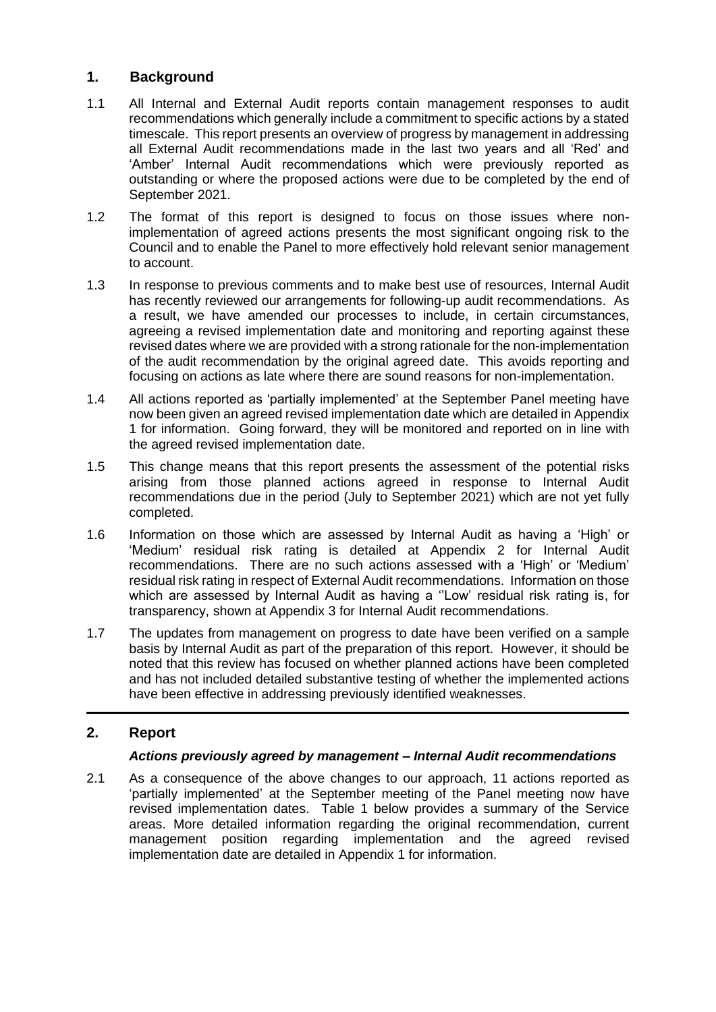# **1. Background**

- 1.1 All Internal and External Audit reports contain management responses to audit recommendations which generally include a commitment to specific actions by a stated timescale. This report presents an overview of progress by management in addressing all External Audit recommendations made in the last two years and all 'Red' and 'Amber' Internal Audit recommendations which were previously reported as outstanding or where the proposed actions were due to be completed by the end of September 2021.
- 1.2 The format of this report is designed to focus on those issues where nonimplementation of agreed actions presents the most significant ongoing risk to the Council and to enable the Panel to more effectively hold relevant senior management to account.
- 1.3 In response to previous comments and to make best use of resources, Internal Audit has recently reviewed our arrangements for following-up audit recommendations. As a result, we have amended our processes to include, in certain circumstances, agreeing a revised implementation date and monitoring and reporting against these revised dates where we are provided with a strong rationale for the non-implementation of the audit recommendation by the original agreed date. This avoids reporting and focusing on actions as late where there are sound reasons for non-implementation.
- 1.4 All actions reported as 'partially implemented' at the September Panel meeting have now been given an agreed revised implementation date which are detailed in Appendix 1 for information. Going forward, they will be monitored and reported on in line with the agreed revised implementation date.
- 1.5 This change means that this report presents the assessment of the potential risks arising from those planned actions agreed in response to Internal Audit recommendations due in the period (July to September 2021) which are not yet fully completed.
- 1.6 Information on those which are assessed by Internal Audit as having a 'High' or 'Medium' residual risk rating is detailed at Appendix 2 for Internal Audit recommendations. There are no such actions assessed with a 'High' or 'Medium' residual risk rating in respect of External Audit recommendations. Information on those which are assessed by Internal Audit as having a ''Low' residual risk rating is, for transparency, shown at Appendix 3 for Internal Audit recommendations.
- 1.7 The updates from management on progress to date have been verified on a sample basis by Internal Audit as part of the preparation of this report. However, it should be noted that this review has focused on whether planned actions have been completed and has not included detailed substantive testing of whether the implemented actions have been effective in addressing previously identified weaknesses.

# **2. Report**

# *Actions previously agreed by management – Internal Audit recommendations*

2.1 As a consequence of the above changes to our approach, 11 actions reported as 'partially implemented' at the September meeting of the Panel meeting now have revised implementation dates. Table 1 below provides a summary of the Service areas. More detailed information regarding the original recommendation, current management position regarding implementation and the agreed revised implementation date are detailed in Appendix 1 for information.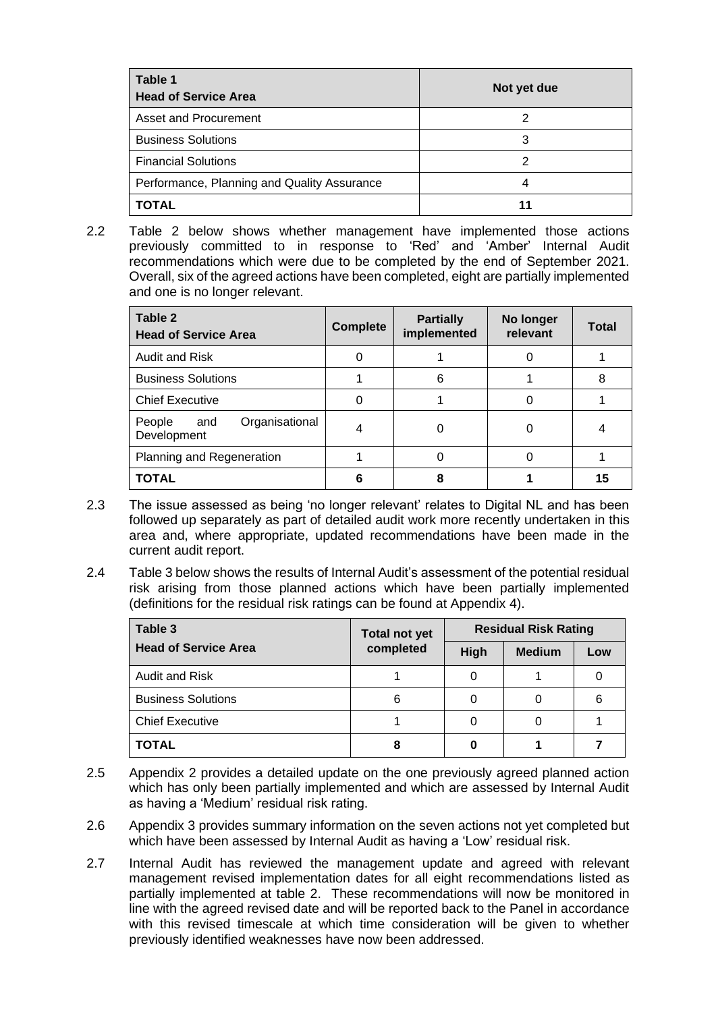| Table 1<br><b>Head of Service Area</b>      | Not yet due |
|---------------------------------------------|-------------|
| Asset and Procurement                       |             |
| <b>Business Solutions</b>                   | 3           |
| <b>Financial Solutions</b>                  | າ           |
| Performance, Planning and Quality Assurance |             |
| TOTAL                                       |             |

2.2 Table 2 below shows whether management have implemented those actions previously committed to in response to 'Red' and 'Amber' Internal Audit recommendations which were due to be completed by the end of September 2021. Overall, six of the agreed actions have been completed, eight are partially implemented and one is no longer relevant.

| Table 2<br><b>Head of Service Area</b>         | <b>Complete</b> | <b>Partially</b><br>implemented | No longer<br>relevant | <b>Total</b> |
|------------------------------------------------|-----------------|---------------------------------|-----------------------|--------------|
| <b>Audit and Risk</b>                          |                 |                                 |                       |              |
| <b>Business Solutions</b>                      |                 | 6                               |                       | 8            |
| <b>Chief Executive</b>                         | 0               |                                 |                       |              |
| Organisational<br>People<br>and<br>Development |                 | O                               | O                     |              |
| Planning and Regeneration                      |                 | 0                               |                       |              |
| <b>TOTAL</b>                                   | 6               | 8                               |                       | 15           |

- 2.3 The issue assessed as being 'no longer relevant' relates to Digital NL and has been followed up separately as part of detailed audit work more recently undertaken in this area and, where appropriate, updated recommendations have been made in the current audit report.
- 2.4 Table 3 below shows the results of Internal Audit's assessment of the potential residual risk arising from those planned actions which have been partially implemented (definitions for the residual risk ratings can be found at Appendix 4).

| Table 3                     | <b>Total not yet</b> |      | <b>Residual Risk Rating</b> |     |
|-----------------------------|----------------------|------|-----------------------------|-----|
| <b>Head of Service Area</b> | completed            | High | <b>Medium</b>               | Low |
| Audit and Risk              |                      |      |                             |     |
| <b>Business Solutions</b>   | 6                    |      |                             | 6   |
| <b>Chief Executive</b>      |                      |      |                             |     |
| <b>TOTAL</b>                | 8                    |      |                             |     |

- 2.5 Appendix 2 provides a detailed update on the one previously agreed planned action which has only been partially implemented and which are assessed by Internal Audit as having a 'Medium' residual risk rating.
- 2.6 Appendix 3 provides summary information on the seven actions not yet completed but which have been assessed by Internal Audit as having a 'Low' residual risk.
- 2.7 Internal Audit has reviewed the management update and agreed with relevant management revised implementation dates for all eight recommendations listed as partially implemented at table 2. These recommendations will now be monitored in line with the agreed revised date and will be reported back to the Panel in accordance with this revised timescale at which time consideration will be given to whether previously identified weaknesses have now been addressed.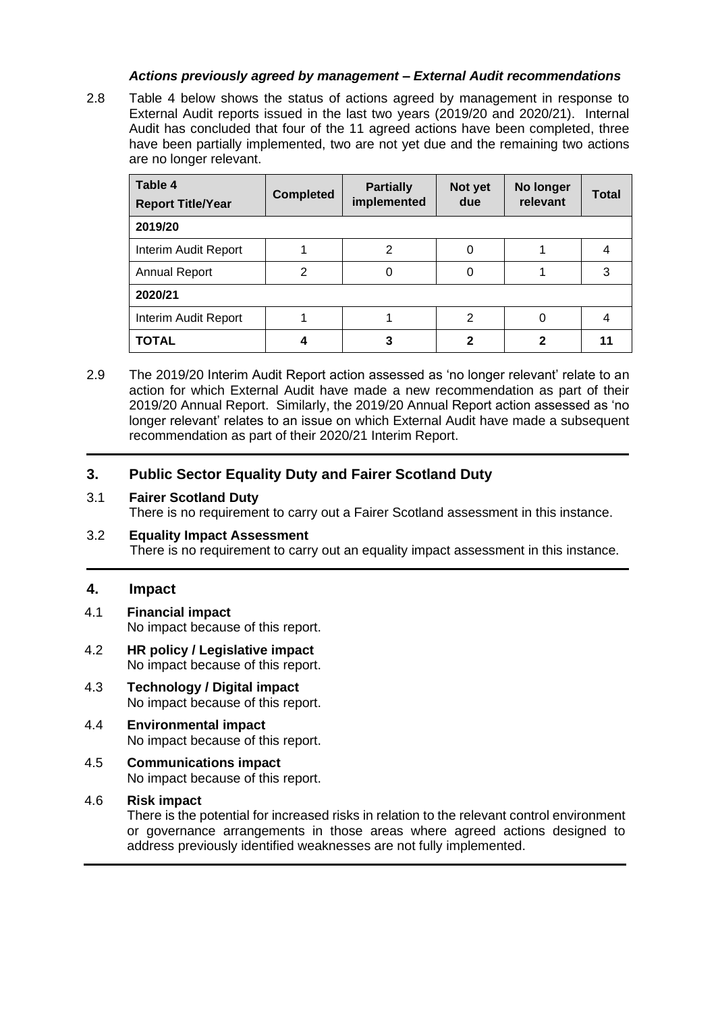#### *Actions previously agreed by management – External Audit recommendations*

2.8 Table 4 below shows the status of actions agreed by management in response to External Audit reports issued in the last two years (2019/20 and 2020/21). Internal Audit has concluded that four of the 11 agreed actions have been completed, three have been partially implemented, two are not yet due and the remaining two actions are no longer relevant.

| Table 4<br><b>Report Title/Year</b> | <b>Completed</b> | <b>Partially</b><br>implemented | Not yet<br>due | No longer<br>relevant | <b>Total</b> |
|-------------------------------------|------------------|---------------------------------|----------------|-----------------------|--------------|
| 2019/20                             |                  |                                 |                |                       |              |
| Interim Audit Report                |                  | 2                               | 0              |                       |              |
| <b>Annual Report</b>                | 2                | 0                               | 0              |                       | 3            |
| 2020/21                             |                  |                                 |                |                       |              |
| Interim Audit Report                |                  |                                 | 2              | 0                     |              |
| <b>TOTAL</b>                        |                  | 3                               | 2              | 2                     |              |

2.9 The 2019/20 Interim Audit Report action assessed as 'no longer relevant' relate to an action for which External Audit have made a new recommendation as part of their 2019/20 Annual Report. Similarly, the 2019/20 Annual Report action assessed as 'no longer relevant' relates to an issue on which External Audit have made a subsequent recommendation as part of their 2020/21 Interim Report.

# **3. Public Sector Equality Duty and Fairer Scotland Duty**

#### 3.1 **Fairer Scotland Duty**

There is no requirement to carry out a Fairer Scotland assessment in this instance.

3.2 **Equality Impact Assessment** There is no requirement to carry out an equality impact assessment in this instance.

#### **4. Impact**

- 4.1 **Financial impact** No impact because of this report.
- 4.2 **HR policy / Legislative impact** No impact because of this report.
- 4.3 **Technology / Digital impact** No impact because of this report.
- 4.4 **Environmental impact** No impact because of this report.
- 4.5 **Communications impact** No impact because of this report.

#### 4.6 **Risk impact**

There is the potential for increased risks in relation to the relevant control environment or governance arrangements in those areas where agreed actions designed to address previously identified weaknesses are not fully implemented.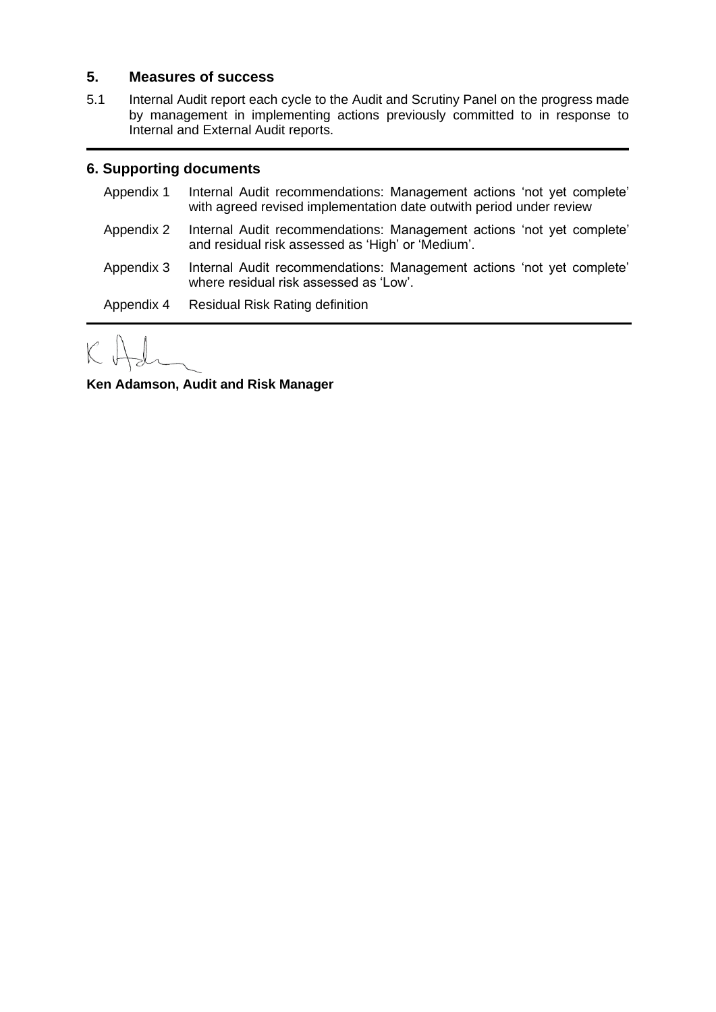# **5. Measures of success**

5.1 Internal Audit report each cycle to the Audit and Scrutiny Panel on the progress made by management in implementing actions previously committed to in response to Internal and External Audit reports.

# **6. Supporting documents**

- Appendix 1 Internal Audit recommendations: Management actions 'not yet complete' with agreed revised implementation date outwith period under review
- Appendix 2 Internal Audit recommendations: Management actions 'not yet complete' and residual risk assessed as 'High' or 'Medium'.
- Appendix 3 Internal Audit recommendations: Management actions 'not yet complete' where residual risk assessed as 'Low'.

Appendix 4 Residual Risk Rating definition

**Ken Adamson, Audit and Risk Manager**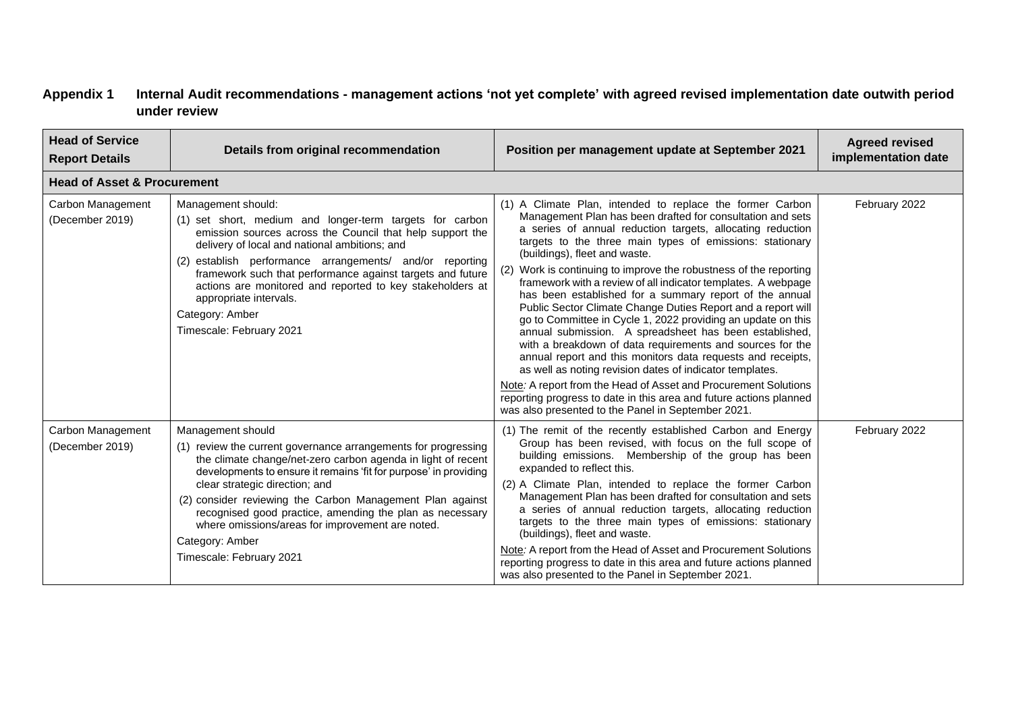# **Appendix 1 Internal Audit recommendations - management actions 'not yet complete' with agreed revised implementation date outwith period under review**

| <b>Head of Service</b><br><b>Report Details</b> | Details from original recommendation                                                                                                                                                                                                                                                                                                                                                                                                                                                  | Position per management update at September 2021                                                                                                                                                                                                                                                                                                                                                                                                                                                                                                                                                                                                                                                                                                                                                                                                                                                                                                                                                                                                                        | <b>Agreed revised</b><br>implementation date |
|-------------------------------------------------|---------------------------------------------------------------------------------------------------------------------------------------------------------------------------------------------------------------------------------------------------------------------------------------------------------------------------------------------------------------------------------------------------------------------------------------------------------------------------------------|-------------------------------------------------------------------------------------------------------------------------------------------------------------------------------------------------------------------------------------------------------------------------------------------------------------------------------------------------------------------------------------------------------------------------------------------------------------------------------------------------------------------------------------------------------------------------------------------------------------------------------------------------------------------------------------------------------------------------------------------------------------------------------------------------------------------------------------------------------------------------------------------------------------------------------------------------------------------------------------------------------------------------------------------------------------------------|----------------------------------------------|
| <b>Head of Asset &amp; Procurement</b>          |                                                                                                                                                                                                                                                                                                                                                                                                                                                                                       |                                                                                                                                                                                                                                                                                                                                                                                                                                                                                                                                                                                                                                                                                                                                                                                                                                                                                                                                                                                                                                                                         |                                              |
| Carbon Management<br>(December 2019)            | Management should:<br>(1) set short, medium and longer-term targets for carbon<br>emission sources across the Council that help support the<br>delivery of local and national ambitions; and<br>establish performance arrangements/ and/or reporting<br>(2)<br>framework such that performance against targets and future<br>actions are monitored and reported to key stakeholders at<br>appropriate intervals.<br>Category: Amber<br>Timescale: February 2021                       | (1) A Climate Plan, intended to replace the former Carbon<br>Management Plan has been drafted for consultation and sets<br>a series of annual reduction targets, allocating reduction<br>targets to the three main types of emissions: stationary<br>(buildings), fleet and waste.<br>Work is continuing to improve the robustness of the reporting<br>(2)<br>framework with a review of all indicator templates. A webpage<br>has been established for a summary report of the annual<br>Public Sector Climate Change Duties Report and a report will<br>go to Committee in Cycle 1, 2022 providing an update on this<br>annual submission. A spreadsheet has been established,<br>with a breakdown of data requirements and sources for the<br>annual report and this monitors data requests and receipts,<br>as well as noting revision dates of indicator templates.<br>Note: A report from the Head of Asset and Procurement Solutions<br>reporting progress to date in this area and future actions planned<br>was also presented to the Panel in September 2021. | February 2022                                |
| Carbon Management<br>(December 2019)            | Management should<br>(1) review the current governance arrangements for progressing<br>the climate change/net-zero carbon agenda in light of recent<br>developments to ensure it remains 'fit for purpose' in providing<br>clear strategic direction; and<br>(2) consider reviewing the Carbon Management Plan against<br>recognised good practice, amending the plan as necessary<br>where omissions/areas for improvement are noted.<br>Category: Amber<br>Timescale: February 2021 | (1) The remit of the recently established Carbon and Energy<br>Group has been revised, with focus on the full scope of<br>building emissions. Membership of the group has been<br>expanded to reflect this.<br>(2) A Climate Plan, intended to replace the former Carbon<br>Management Plan has been drafted for consultation and sets<br>a series of annual reduction targets, allocating reduction<br>targets to the three main types of emissions: stationary<br>(buildings), fleet and waste.<br>Note: A report from the Head of Asset and Procurement Solutions<br>reporting progress to date in this area and future actions planned<br>was also presented to the Panel in September 2021.                                                                                                                                                                                                                                                                                                                                                                        | February 2022                                |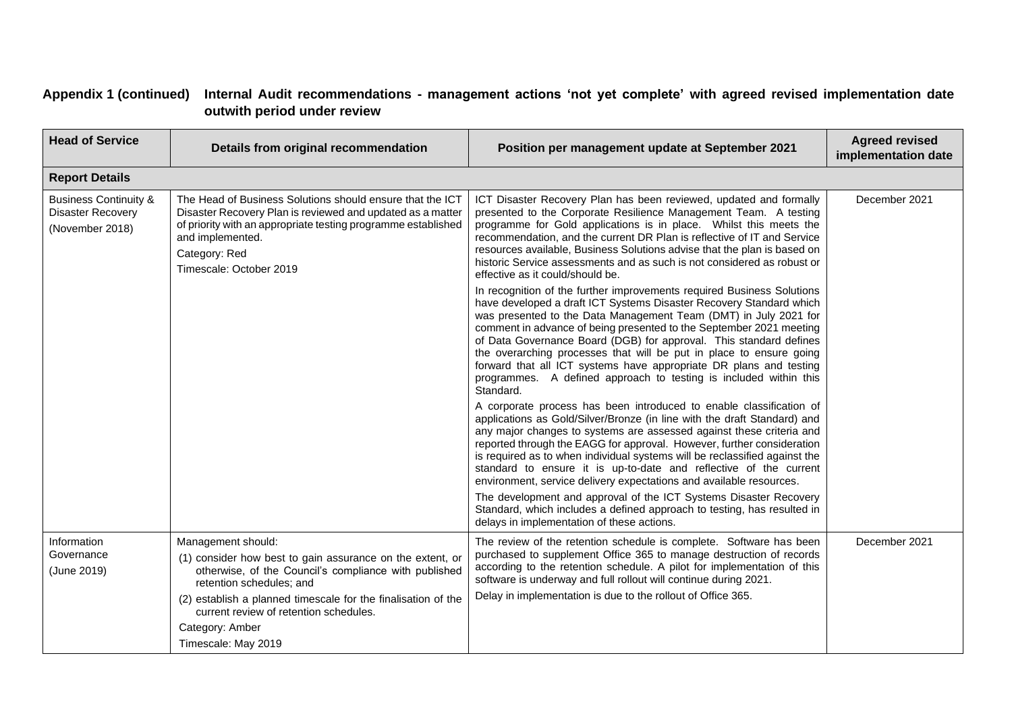# **Appendix 1 (continued) Internal Audit recommendations - management actions 'not yet complete' with agreed revised implementation date outwith period under review**

| <b>Head of Service</b>                                                          | Details from original recommendation                                                                                                                                                                                                                                                                                      | Position per management update at September 2021                                                                                                                                                                                                                                                                                                                                                                                                                                                                                                                                                                                                                                                                          | <b>Agreed revised</b><br>implementation date |
|---------------------------------------------------------------------------------|---------------------------------------------------------------------------------------------------------------------------------------------------------------------------------------------------------------------------------------------------------------------------------------------------------------------------|---------------------------------------------------------------------------------------------------------------------------------------------------------------------------------------------------------------------------------------------------------------------------------------------------------------------------------------------------------------------------------------------------------------------------------------------------------------------------------------------------------------------------------------------------------------------------------------------------------------------------------------------------------------------------------------------------------------------------|----------------------------------------------|
| <b>Report Details</b>                                                           |                                                                                                                                                                                                                                                                                                                           |                                                                                                                                                                                                                                                                                                                                                                                                                                                                                                                                                                                                                                                                                                                           |                                              |
| <b>Business Continuity &amp;</b><br><b>Disaster Recovery</b><br>(November 2018) | The Head of Business Solutions should ensure that the ICT<br>Disaster Recovery Plan is reviewed and updated as a matter<br>of priority with an appropriate testing programme established<br>and implemented.<br>Category: Red<br>Timescale: October 2019                                                                  | ICT Disaster Recovery Plan has been reviewed, updated and formally<br>presented to the Corporate Resilience Management Team. A testing<br>programme for Gold applications is in place. Whilst this meets the<br>recommendation, and the current DR Plan is reflective of IT and Service<br>resources available, Business Solutions advise that the plan is based on<br>historic Service assessments and as such is not considered as robust or<br>effective as it could/should be.                                                                                                                                                                                                                                        | December 2021                                |
|                                                                                 |                                                                                                                                                                                                                                                                                                                           | In recognition of the further improvements required Business Solutions<br>have developed a draft ICT Systems Disaster Recovery Standard which<br>was presented to the Data Management Team (DMT) in July 2021 for<br>comment in advance of being presented to the September 2021 meeting<br>of Data Governance Board (DGB) for approval. This standard defines<br>the overarching processes that will be put in place to ensure going<br>forward that all ICT systems have appropriate DR plans and testing<br>programmes. A defined approach to testing is included within this<br>Standard.                                                                                                                             |                                              |
|                                                                                 |                                                                                                                                                                                                                                                                                                                           | A corporate process has been introduced to enable classification of<br>applications as Gold/Silver/Bronze (in line with the draft Standard) and<br>any major changes to systems are assessed against these criteria and<br>reported through the EAGG for approval. However, further consideration<br>is required as to when individual systems will be reclassified against the<br>standard to ensure it is up-to-date and reflective of the current<br>environment, service delivery expectations and available resources.<br>The development and approval of the ICT Systems Disaster Recovery<br>Standard, which includes a defined approach to testing, has resulted in<br>delays in implementation of these actions. |                                              |
| Information<br>Governance<br>(June 2019)                                        | Management should:<br>(1) consider how best to gain assurance on the extent, or<br>otherwise, of the Council's compliance with published<br>retention schedules; and<br>(2) establish a planned timescale for the finalisation of the<br>current review of retention schedules.<br>Category: Amber<br>Timescale: May 2019 | The review of the retention schedule is complete. Software has been<br>purchased to supplement Office 365 to manage destruction of records<br>according to the retention schedule. A pilot for implementation of this<br>software is underway and full rollout will continue during 2021.<br>Delay in implementation is due to the rollout of Office 365.                                                                                                                                                                                                                                                                                                                                                                 | December 2021                                |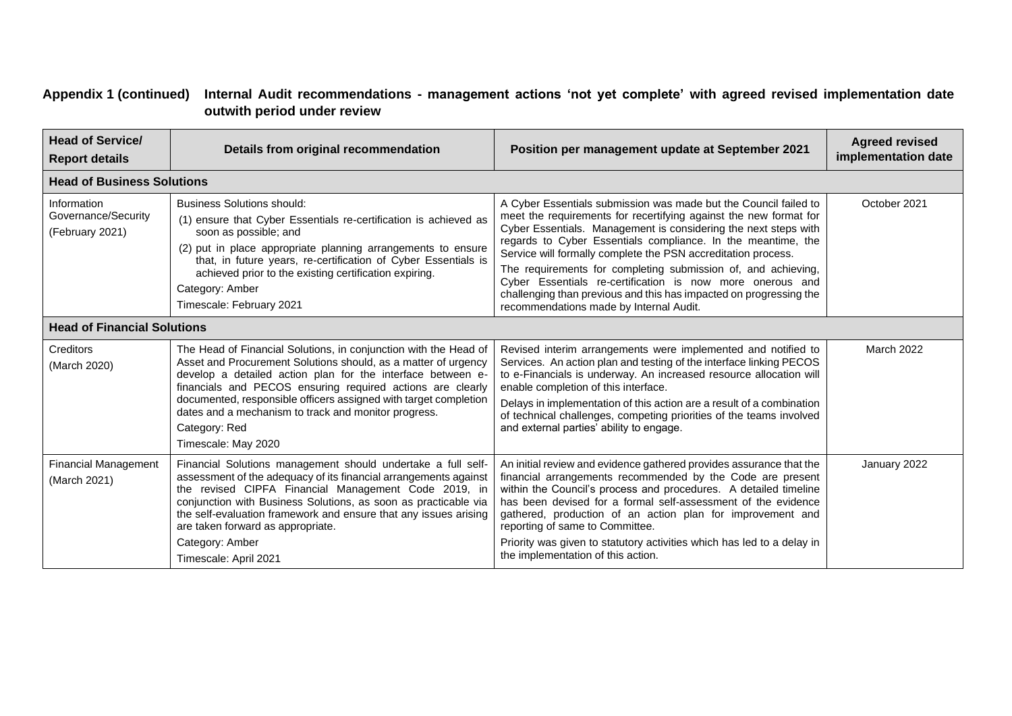# **Appendix 1 (continued) Internal Audit recommendations - management actions 'not yet complete' with agreed revised implementation date outwith period under review**

| <b>Head of Service/</b><br><b>Report details</b>      | Details from original recommendation                                                                                                                                                                                                                                                                                                                                                                                                | Position per management update at September 2021                                                                                                                                                                                                                                                                                                                                                                                                                                                                                                                                         | <b>Agreed revised</b><br>implementation date |
|-------------------------------------------------------|-------------------------------------------------------------------------------------------------------------------------------------------------------------------------------------------------------------------------------------------------------------------------------------------------------------------------------------------------------------------------------------------------------------------------------------|------------------------------------------------------------------------------------------------------------------------------------------------------------------------------------------------------------------------------------------------------------------------------------------------------------------------------------------------------------------------------------------------------------------------------------------------------------------------------------------------------------------------------------------------------------------------------------------|----------------------------------------------|
| <b>Head of Business Solutions</b>                     |                                                                                                                                                                                                                                                                                                                                                                                                                                     |                                                                                                                                                                                                                                                                                                                                                                                                                                                                                                                                                                                          |                                              |
| Information<br>Governance/Security<br>(February 2021) | <b>Business Solutions should:</b><br>(1) ensure that Cyber Essentials re-certification is achieved as<br>soon as possible; and<br>(2) put in place appropriate planning arrangements to ensure<br>that, in future years, re-certification of Cyber Essentials is<br>achieved prior to the existing certification expiring.<br>Category: Amber<br>Timescale: February 2021                                                           | A Cyber Essentials submission was made but the Council failed to<br>meet the requirements for recertifying against the new format for<br>Cyber Essentials. Management is considering the next steps with<br>regards to Cyber Essentials compliance. In the meantime, the<br>Service will formally complete the PSN accreditation process.<br>The requirements for completing submission of, and achieving,<br>Cyber Essentials re-certification is now more onerous and<br>challenging than previous and this has impacted on progressing the<br>recommendations made by Internal Audit. | October 2021                                 |
| <b>Head of Financial Solutions</b>                    |                                                                                                                                                                                                                                                                                                                                                                                                                                     |                                                                                                                                                                                                                                                                                                                                                                                                                                                                                                                                                                                          |                                              |
| Creditors<br>(March 2020)                             | The Head of Financial Solutions, in conjunction with the Head of<br>Asset and Procurement Solutions should, as a matter of urgency<br>develop a detailed action plan for the interface between e-<br>financials and PECOS ensuring required actions are clearly<br>documented, responsible officers assigned with target completion<br>dates and a mechanism to track and monitor progress.<br>Category: Red<br>Timescale: May 2020 | Revised interim arrangements were implemented and notified to<br>Services. An action plan and testing of the interface linking PECOS<br>to e-Financials is underway. An increased resource allocation will<br>enable completion of this interface.<br>Delays in implementation of this action are a result of a combination<br>of technical challenges, competing priorities of the teams involved<br>and external parties' ability to engage.                                                                                                                                           | March 2022                                   |
| <b>Financial Management</b><br>(March 2021)           | Financial Solutions management should undertake a full self-<br>assessment of the adequacy of its financial arrangements against<br>the revised CIPFA Financial Management Code 2019, in<br>conjunction with Business Solutions, as soon as practicable via<br>the self-evaluation framework and ensure that any issues arising<br>are taken forward as appropriate.<br>Category: Amber<br>Timescale: April 2021                    | An initial review and evidence gathered provides assurance that the<br>financial arrangements recommended by the Code are present<br>within the Council's process and procedures. A detailed timeline<br>has been devised for a formal self-assessment of the evidence<br>gathered, production of an action plan for improvement and<br>reporting of same to Committee.<br>Priority was given to statutory activities which has led to a delay in<br>the implementation of this action.                                                                                                  | January 2022                                 |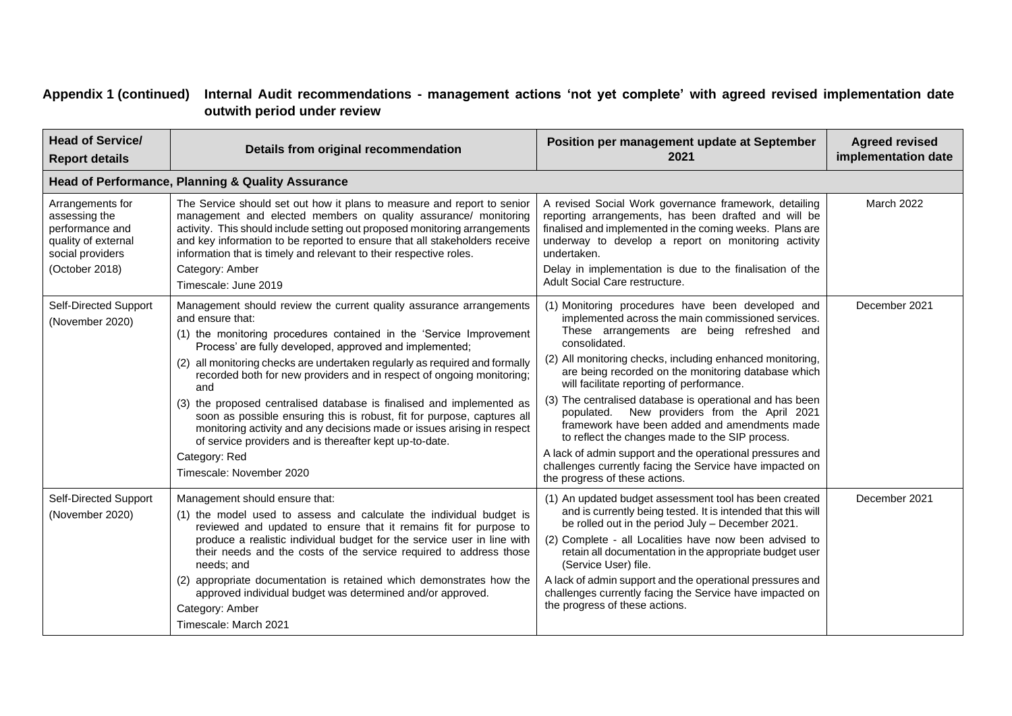# **Appendix 1 (continued) Internal Audit recommendations - management actions 'not yet complete' with agreed revised implementation date outwith period under review**

| <b>Head of Service/</b><br><b>Report details</b>                                                                  | Details from original recommendation                                                                                                                                                                                                                                                                                                                                                                                                                                                                                                                                                                                                                                                                                            | Position per management update at September<br>2021                                                                                                                                                                                                                                                                                                                                                                                                                                                                                                                                                                                                                                                                | <b>Agreed revised</b><br>implementation date |
|-------------------------------------------------------------------------------------------------------------------|---------------------------------------------------------------------------------------------------------------------------------------------------------------------------------------------------------------------------------------------------------------------------------------------------------------------------------------------------------------------------------------------------------------------------------------------------------------------------------------------------------------------------------------------------------------------------------------------------------------------------------------------------------------------------------------------------------------------------------|--------------------------------------------------------------------------------------------------------------------------------------------------------------------------------------------------------------------------------------------------------------------------------------------------------------------------------------------------------------------------------------------------------------------------------------------------------------------------------------------------------------------------------------------------------------------------------------------------------------------------------------------------------------------------------------------------------------------|----------------------------------------------|
|                                                                                                                   | Head of Performance, Planning & Quality Assurance                                                                                                                                                                                                                                                                                                                                                                                                                                                                                                                                                                                                                                                                               |                                                                                                                                                                                                                                                                                                                                                                                                                                                                                                                                                                                                                                                                                                                    |                                              |
| Arrangements for<br>assessing the<br>performance and<br>quality of external<br>social providers<br>(October 2018) | The Service should set out how it plans to measure and report to senior<br>management and elected members on quality assurance/ monitoring<br>activity. This should include setting out proposed monitoring arrangements<br>and key information to be reported to ensure that all stakeholders receive<br>information that is timely and relevant to their respective roles.<br>Category: Amber<br>Timescale: June 2019                                                                                                                                                                                                                                                                                                         | A revised Social Work governance framework, detailing<br>reporting arrangements, has been drafted and will be<br>finalised and implemented in the coming weeks. Plans are<br>underway to develop a report on monitoring activity<br>undertaken.<br>Delay in implementation is due to the finalisation of the<br>Adult Social Care restructure.                                                                                                                                                                                                                                                                                                                                                                     | March 2022                                   |
| Self-Directed Support<br>(November 2020)                                                                          | Management should review the current quality assurance arrangements<br>and ensure that:<br>(1) the monitoring procedures contained in the 'Service Improvement<br>Process' are fully developed, approved and implemented;<br>(2) all monitoring checks are undertaken regularly as required and formally<br>recorded both for new providers and in respect of ongoing monitoring;<br>and<br>(3) the proposed centralised database is finalised and implemented as<br>soon as possible ensuring this is robust, fit for purpose, captures all<br>monitoring activity and any decisions made or issues arising in respect<br>of service providers and is thereafter kept up-to-date.<br>Category: Red<br>Timescale: November 2020 | (1) Monitoring procedures have been developed and<br>implemented across the main commissioned services.<br>These arrangements are being refreshed and<br>consolidated.<br>(2) All monitoring checks, including enhanced monitoring,<br>are being recorded on the monitoring database which<br>will facilitate reporting of performance.<br>(3) The centralised database is operational and has been<br>populated. New providers from the April 2021<br>framework have been added and amendments made<br>to reflect the changes made to the SIP process.<br>A lack of admin support and the operational pressures and<br>challenges currently facing the Service have impacted on<br>the progress of these actions. | December 2021                                |
| Self-Directed Support<br>(November 2020)                                                                          | Management should ensure that:<br>(1) the model used to assess and calculate the individual budget is<br>reviewed and updated to ensure that it remains fit for purpose to<br>produce a realistic individual budget for the service user in line with<br>their needs and the costs of the service required to address those<br>needs; and<br>(2) appropriate documentation is retained which demonstrates how the<br>approved individual budget was determined and/or approved.<br>Category: Amber<br>Timescale: March 2021                                                                                                                                                                                                     | (1) An updated budget assessment tool has been created<br>and is currently being tested. It is intended that this will<br>be rolled out in the period July - December 2021.<br>(2) Complete - all Localities have now been advised to<br>retain all documentation in the appropriate budget user<br>(Service User) file.<br>A lack of admin support and the operational pressures and<br>challenges currently facing the Service have impacted on<br>the progress of these actions.                                                                                                                                                                                                                                | December 2021                                |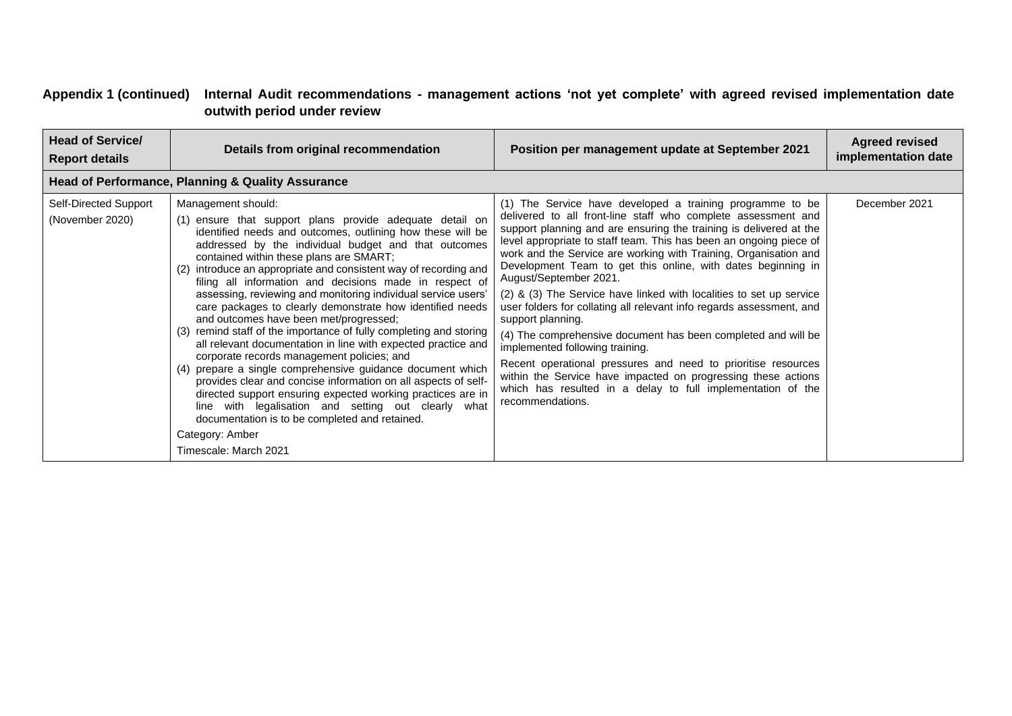# **Appendix 1 (continued) Internal Audit recommendations - management actions 'not yet complete' with agreed revised implementation date outwith period under review**

| <b>Head of Service/</b><br><b>Report details</b> | Details from original recommendation                                                                                                                                                                                                                                                                                                                                                                                                                                                                                                                                                                                                                                                                                                                                                                                                                                                                                                                                                                                                                                                                        | Position per management update at September 2021                                                                                                                                                                                                                                                                                                                                                                                                                                                                                                                                                                                                                                                                                                                                                                                                                                                                                  | <b>Agreed revised</b><br>implementation date |
|--------------------------------------------------|-------------------------------------------------------------------------------------------------------------------------------------------------------------------------------------------------------------------------------------------------------------------------------------------------------------------------------------------------------------------------------------------------------------------------------------------------------------------------------------------------------------------------------------------------------------------------------------------------------------------------------------------------------------------------------------------------------------------------------------------------------------------------------------------------------------------------------------------------------------------------------------------------------------------------------------------------------------------------------------------------------------------------------------------------------------------------------------------------------------|-----------------------------------------------------------------------------------------------------------------------------------------------------------------------------------------------------------------------------------------------------------------------------------------------------------------------------------------------------------------------------------------------------------------------------------------------------------------------------------------------------------------------------------------------------------------------------------------------------------------------------------------------------------------------------------------------------------------------------------------------------------------------------------------------------------------------------------------------------------------------------------------------------------------------------------|----------------------------------------------|
|                                                  | Head of Performance, Planning & Quality Assurance                                                                                                                                                                                                                                                                                                                                                                                                                                                                                                                                                                                                                                                                                                                                                                                                                                                                                                                                                                                                                                                           |                                                                                                                                                                                                                                                                                                                                                                                                                                                                                                                                                                                                                                                                                                                                                                                                                                                                                                                                   |                                              |
| Self-Directed Support<br>(November 2020)         | Management should:<br>ensure that support plans provide adequate detail on<br>(1)<br>identified needs and outcomes, outlining how these will be<br>addressed by the individual budget and that outcomes<br>contained within these plans are SMART;<br>introduce an appropriate and consistent way of recording and<br>(2)<br>filing all information and decisions made in respect of<br>assessing, reviewing and monitoring individual service users'<br>care packages to clearly demonstrate how identified needs<br>and outcomes have been met/progressed;<br>remind staff of the importance of fully completing and storing<br>(3)<br>all relevant documentation in line with expected practice and<br>corporate records management policies; and<br>prepare a single comprehensive guidance document which<br>(4)<br>provides clear and concise information on all aspects of self-<br>directed support ensuring expected working practices are in<br>line with legalisation and setting out clearly what<br>documentation is to be completed and retained.<br>Category: Amber<br>Timescale: March 2021 | (1) The Service have developed a training programme to be<br>delivered to all front-line staff who complete assessment and<br>support planning and are ensuring the training is delivered at the<br>level appropriate to staff team. This has been an ongoing piece of<br>work and the Service are working with Training, Organisation and<br>Development Team to get this online, with dates beginning in<br>August/September 2021.<br>(2) & (3) The Service have linked with localities to set up service<br>user folders for collating all relevant info regards assessment, and<br>support planning.<br>(4) The comprehensive document has been completed and will be<br>implemented following training.<br>Recent operational pressures and need to prioritise resources<br>within the Service have impacted on progressing these actions<br>which has resulted in a delay to full implementation of the<br>recommendations. | December 2021                                |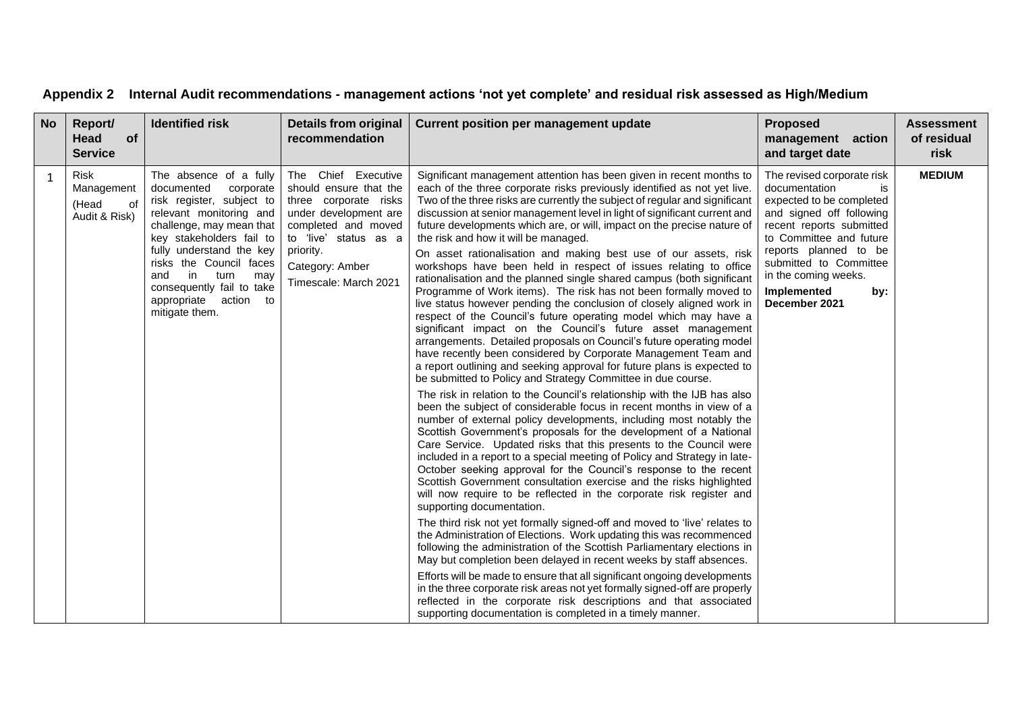| Appendix 2 Internal Audit recommendations - management actions 'not yet complete' and residual risk assessed as High/Medium |
|-----------------------------------------------------------------------------------------------------------------------------|
|-----------------------------------------------------------------------------------------------------------------------------|

| <b>No</b> | Report/<br>of<br>Head<br><b>Service</b>                   | <b>Identified risk</b>                                                                                                                                                                                                                                                                                                       | <b>Details from original</b><br>recommendation                                                                                                                                                           | <b>Current position per management update</b>                                                                                                                                                                                                                                                                                                                                                                                                                                                                                                                                                                                                                                                                                                                                                                                                                                                                                                                                                                                                                                                                                                                                                                                                                                                                                                                                                                                                                                                                                                                                                                                                                                                                                                                                                                                                                                                                                                                                                                                                                                                                                                                                                                                                                                                                                                                                                                                                                                                                            | <b>Proposed</b><br>management action<br>and target date                                                                                                                                                                                                                            | <b>Assessment</b><br>of residual<br>risk |
|-----------|-----------------------------------------------------------|------------------------------------------------------------------------------------------------------------------------------------------------------------------------------------------------------------------------------------------------------------------------------------------------------------------------------|----------------------------------------------------------------------------------------------------------------------------------------------------------------------------------------------------------|--------------------------------------------------------------------------------------------------------------------------------------------------------------------------------------------------------------------------------------------------------------------------------------------------------------------------------------------------------------------------------------------------------------------------------------------------------------------------------------------------------------------------------------------------------------------------------------------------------------------------------------------------------------------------------------------------------------------------------------------------------------------------------------------------------------------------------------------------------------------------------------------------------------------------------------------------------------------------------------------------------------------------------------------------------------------------------------------------------------------------------------------------------------------------------------------------------------------------------------------------------------------------------------------------------------------------------------------------------------------------------------------------------------------------------------------------------------------------------------------------------------------------------------------------------------------------------------------------------------------------------------------------------------------------------------------------------------------------------------------------------------------------------------------------------------------------------------------------------------------------------------------------------------------------------------------------------------------------------------------------------------------------------------------------------------------------------------------------------------------------------------------------------------------------------------------------------------------------------------------------------------------------------------------------------------------------------------------------------------------------------------------------------------------------------------------------------------------------------------------------------------------------|------------------------------------------------------------------------------------------------------------------------------------------------------------------------------------------------------------------------------------------------------------------------------------|------------------------------------------|
| 1         | <b>Risk</b><br>Management<br>of<br>(Head<br>Audit & Risk) | The absence of a fully<br>documented<br>corporate<br>risk register, subject to<br>relevant monitoring and<br>challenge, may mean that<br>key stakeholders fail to<br>fully understand the key<br>risks the Council faces<br>in<br>and<br>turn<br>may<br>consequently fail to take<br>appropriate action to<br>mitigate them. | The Chief Executive<br>should ensure that the<br>three corporate risks<br>under development are<br>completed and moved<br>to 'live' status as a<br>priority.<br>Category: Amber<br>Timescale: March 2021 | Significant management attention has been given in recent months to<br>each of the three corporate risks previously identified as not yet live.<br>Two of the three risks are currently the subject of regular and significant<br>discussion at senior management level in light of significant current and<br>future developments which are, or will, impact on the precise nature of<br>the risk and how it will be managed.<br>On asset rationalisation and making best use of our assets, risk<br>workshops have been held in respect of issues relating to office<br>rationalisation and the planned single shared campus (both significant<br>Programme of Work items). The risk has not been formally moved to<br>live status however pending the conclusion of closely aligned work in<br>respect of the Council's future operating model which may have a<br>significant impact on the Council's future asset management<br>arrangements. Detailed proposals on Council's future operating model<br>have recently been considered by Corporate Management Team and<br>a report outlining and seeking approval for future plans is expected to<br>be submitted to Policy and Strategy Committee in due course.<br>The risk in relation to the Council's relationship with the IJB has also<br>been the subject of considerable focus in recent months in view of a<br>number of external policy developments, including most notably the<br>Scottish Government's proposals for the development of a National<br>Care Service. Updated risks that this presents to the Council were<br>included in a report to a special meeting of Policy and Strategy in late-<br>October seeking approval for the Council's response to the recent<br>Scottish Government consultation exercise and the risks highlighted<br>will now require to be reflected in the corporate risk register and<br>supporting documentation.<br>The third risk not yet formally signed-off and moved to 'live' relates to<br>the Administration of Elections. Work updating this was recommenced<br>following the administration of the Scottish Parliamentary elections in<br>May but completion been delayed in recent weeks by staff absences.<br>Efforts will be made to ensure that all significant ongoing developments<br>in the three corporate risk areas not yet formally signed-off are properly<br>reflected in the corporate risk descriptions and that associated<br>supporting documentation is completed in a timely manner. | The revised corporate risk<br>documentation<br>is<br>expected to be completed<br>and signed off following<br>recent reports submitted<br>to Committee and future<br>reports planned to be<br>submitted to Committee<br>in the coming weeks.<br>Implemented<br>by:<br>December 2021 | <b>MEDIUM</b>                            |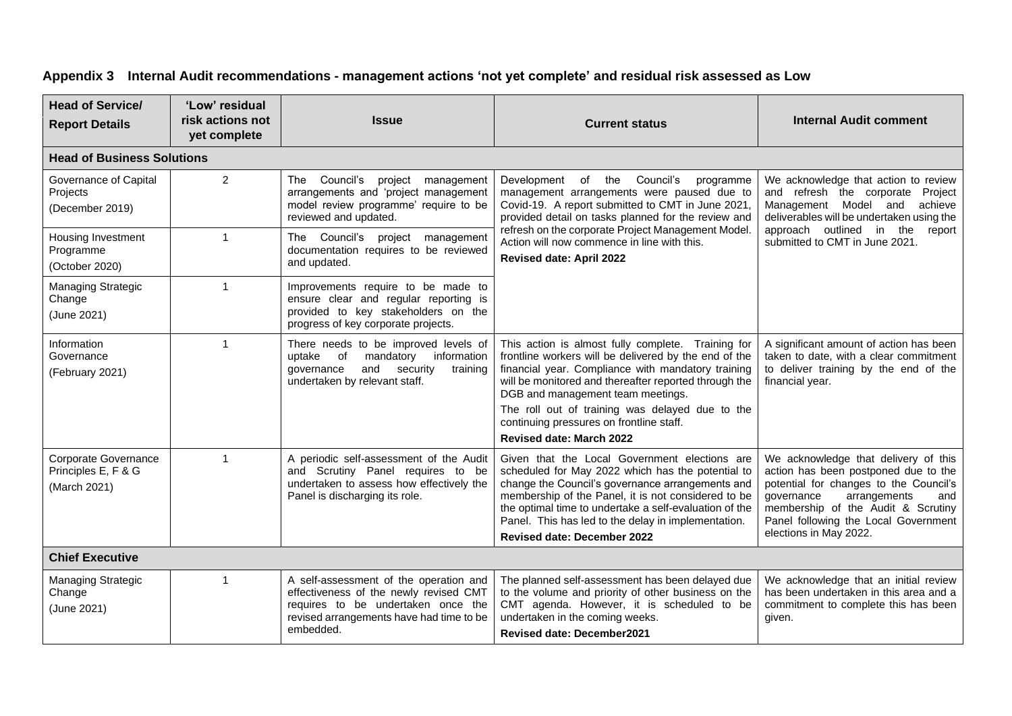# **Appendix 3 Internal Audit recommendations - management actions 'not yet complete' and residual risk assessed as Low**

| <b>Head of Service/</b><br><b>Report Details</b>                                                              | 'Low' residual<br>risk actions not<br><b>Issue</b><br>yet complete |                                                                                                                                                                                 | <b>Current status</b>                                                                                                                                                                                                                                                                                                                                                                             | <b>Internal Audit comment</b>                                                                                                                                                                                                                                       |  |  |  |  |  |
|---------------------------------------------------------------------------------------------------------------|--------------------------------------------------------------------|---------------------------------------------------------------------------------------------------------------------------------------------------------------------------------|---------------------------------------------------------------------------------------------------------------------------------------------------------------------------------------------------------------------------------------------------------------------------------------------------------------------------------------------------------------------------------------------------|---------------------------------------------------------------------------------------------------------------------------------------------------------------------------------------------------------------------------------------------------------------------|--|--|--|--|--|
| <b>Head of Business Solutions</b>                                                                             |                                                                    |                                                                                                                                                                                 |                                                                                                                                                                                                                                                                                                                                                                                                   |                                                                                                                                                                                                                                                                     |  |  |  |  |  |
| Governance of Capital<br>Projects<br>(December 2019)                                                          | $\overline{2}$                                                     | The Council's project management<br>arrangements and 'project management<br>model review programme' require to be<br>reviewed and updated.                                      | Development of the Council's<br>programme<br>management arrangements were paused due to<br>Covid-19. A report submitted to CMT in June 2021,<br>provided detail on tasks planned for the review and                                                                                                                                                                                               | We acknowledge that action to review<br>and refresh the corporate Project<br>Management Model and achieve<br>deliverables will be undertaken using the                                                                                                              |  |  |  |  |  |
| $\mathbf{1}$<br>Housing Investment<br>Programme<br>(October 2020)                                             |                                                                    | The Council's project management<br>documentation requires to be reviewed<br>and updated.                                                                                       | refresh on the corporate Project Management Model.<br>Action will now commence in line with this.<br><b>Revised date: April 2022</b>                                                                                                                                                                                                                                                              | approach outlined in the<br>report<br>submitted to CMT in June 2021.                                                                                                                                                                                                |  |  |  |  |  |
| <b>Managing Strategic</b><br>Change<br>(June 2021)                                                            | $\overline{1}$                                                     | Improvements require to be made to<br>ensure clear and regular reporting is<br>provided to key stakeholders on the<br>progress of key corporate projects.                       |                                                                                                                                                                                                                                                                                                                                                                                                   |                                                                                                                                                                                                                                                                     |  |  |  |  |  |
| Information<br>Governance<br>(February 2021)                                                                  | $\mathbf{1}$                                                       | There needs to be improved levels of<br>uptake of<br>mandatory<br>information<br>and<br>security<br>qovernance<br>training<br>undertaken by relevant staff.                     | This action is almost fully complete. Training for<br>frontline workers will be delivered by the end of the<br>financial year. Compliance with mandatory training<br>will be monitored and thereafter reported through the<br>DGB and management team meetings.<br>The roll out of training was delayed due to the<br>continuing pressures on frontline staff.<br><b>Revised date: March 2022</b> | A significant amount of action has been<br>taken to date, with a clear commitment<br>to deliver training by the end of the<br>financial year.                                                                                                                       |  |  |  |  |  |
| Corporate Governance<br>$\mathbf{1}$<br>Principles E, F & G<br>(March 2021)<br>Panel is discharging its role. |                                                                    | A periodic self-assessment of the Audit<br>and Scrutiny Panel requires to be<br>undertaken to assess how effectively the                                                        | Given that the Local Government elections are<br>scheduled for May 2022 which has the potential to<br>change the Council's governance arrangements and<br>membership of the Panel, it is not considered to be<br>the optimal time to undertake a self-evaluation of the<br>Panel. This has led to the delay in implementation.<br><b>Revised date: December 2022</b>                              | We acknowledge that delivery of this<br>action has been postponed due to the<br>potential for changes to the Council's<br>arrangements<br>qovernance<br>and<br>membership of the Audit & Scrutiny<br>Panel following the Local Government<br>elections in May 2022. |  |  |  |  |  |
| <b>Chief Executive</b>                                                                                        |                                                                    |                                                                                                                                                                                 |                                                                                                                                                                                                                                                                                                                                                                                                   |                                                                                                                                                                                                                                                                     |  |  |  |  |  |
| <b>Managing Strategic</b><br>Change<br>(June 2021)                                                            | 1                                                                  | A self-assessment of the operation and<br>effectiveness of the newly revised CMT<br>requires to be undertaken once the<br>revised arrangements have had time to be<br>embedded. | The planned self-assessment has been delayed due<br>to the volume and priority of other business on the<br>CMT agenda. However, it is scheduled to be<br>undertaken in the coming weeks.<br><b>Revised date: December2021</b>                                                                                                                                                                     | We acknowledge that an initial review<br>has been undertaken in this area and a<br>commitment to complete this has been<br>given.                                                                                                                                   |  |  |  |  |  |